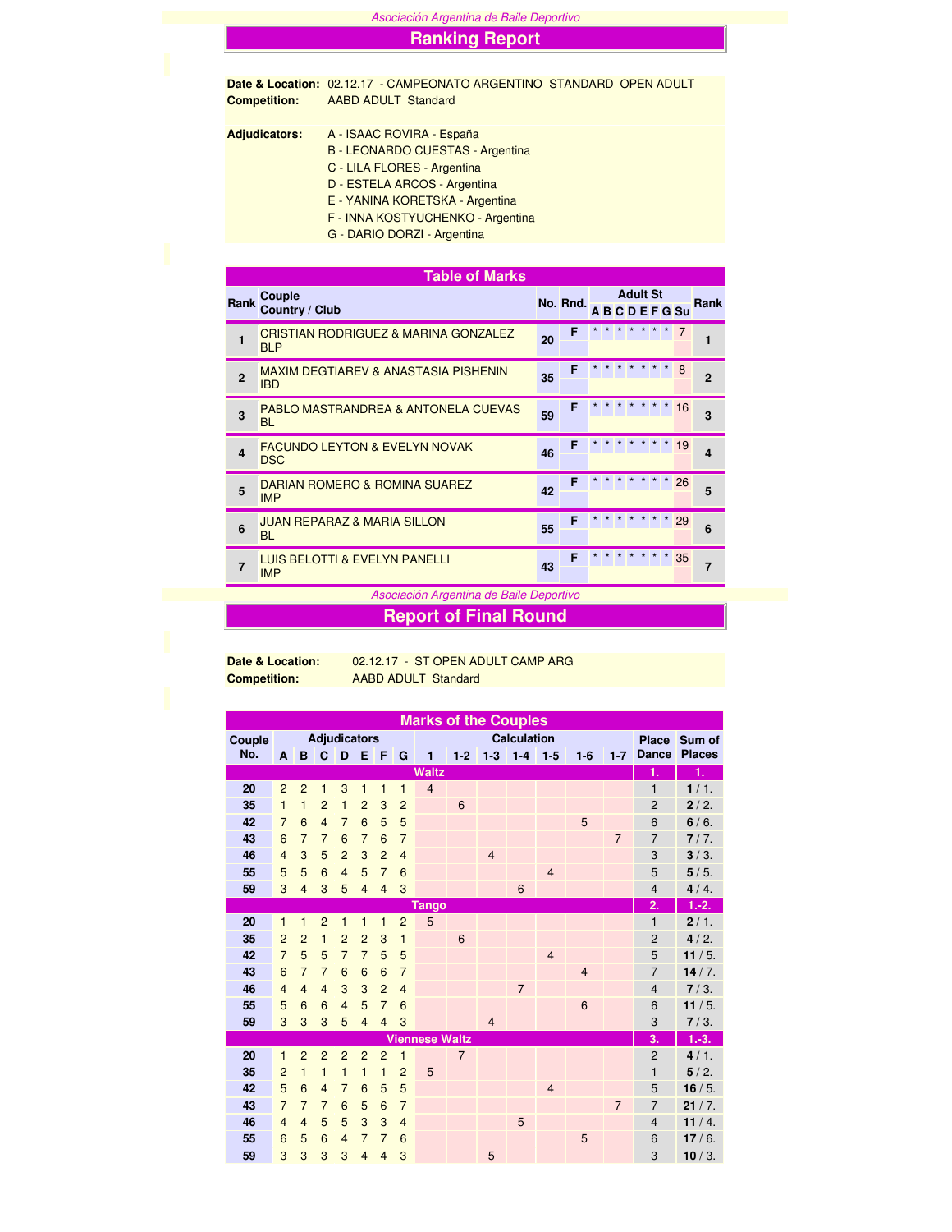Asociación Argentina de Baile Deportivo

## **Ranking Report**

**Date & Location:** 02.12.17 - CAMPEONATO ARGENTINO STANDARD OPEN ADULT **Competition:** AABD ADULT Standard

**Adjudicators:** A - ISAAC ROVIRA - España

- B LEONARDO CUESTAS Argentina
	- C LILA FLORES Argentina
	- D ESTELA ARCOS Argentina
	- E YANINA KORETSKA Argentina
	- F INNA KOSTYUCHENKO Argentina
	- G DARIO DORZI Argentina

|                         | <b>Table of Marks</b>                                         |    |          |  |                 |                  |    |                |
|-------------------------|---------------------------------------------------------------|----|----------|--|-----------------|------------------|----|----------------|
| Rank                    | Couple<br>Country / Club                                      |    | No. Rnd. |  | <b>Adult St</b> | <b>ABCDEFGSu</b> |    | Rank           |
| 1                       | <b>CRISTIAN RODRIGUEZ &amp; MARINA GONZALEZ</b><br><b>BLP</b> | 20 | F        |  |                 |                  |    | 1              |
| $\overline{2}$          | <b>MAXIM DEGTIAREV &amp; ANASTASIA PISHENIN</b><br><b>IBD</b> | 35 | F        |  |                 |                  | 8  | $\overline{2}$ |
| 3                       | PABLO MASTRANDREA & ANTONELA CUEVAS<br><b>BL</b>              | 59 | F        |  |                 |                  | 16 | 3              |
| $\overline{\mathbf{A}}$ | <b>FACUNDO LEYTON &amp; EVELYN NOVAK</b><br><b>DSC</b>        | 46 | F        |  |                 |                  | 19 | 4              |
| 5                       | DARIAN ROMERO & ROMINA SUAREZ<br><b>IMP</b>                   | 42 | F        |  |                 |                  | 26 | 5              |
| 6                       | <b>JUAN REPARAZ &amp; MARIA SILLON</b><br><b>BL</b>           | 55 | F        |  |                 |                  | 29 | 6              |
| $\overline{7}$          | <b>LUIS BELOTTI &amp; EVELYN PANELLI</b><br><b>IMP</b>        | 43 | F        |  | * * * * *       | $\star$          | 35 | $\overline{7}$ |

Asociación Argentina de Baile Deportivo

## **Report of Final Round**

**Date & Location:** 02.12.17 - ST OPEN ADULT CAMP ARG **Competition:** AABD ADULT Standard

|        |                |                     |                |                |                |                         |                         | <b>Marks of the Couples</b> |                 |                |                |                |                |                |                  |               |
|--------|----------------|---------------------|----------------|----------------|----------------|-------------------------|-------------------------|-----------------------------|-----------------|----------------|----------------|----------------|----------------|----------------|------------------|---------------|
| Couple |                | <b>Adjudicators</b> |                |                |                |                         |                         |                             |                 | <b>Place</b>   | Sum of         |                |                |                |                  |               |
| No.    | A              | B                   | C              | D              | E              | F                       | G                       | 1                           | $1-2$           |                | $1-3$ 1-4      | $1-5$          | $1-6$          | $1 - 7$        | <b>Dance</b>     | <b>Places</b> |
|        |                |                     |                |                |                |                         |                         | <b>Waltz</b>                |                 |                |                |                |                |                | 1.               | 1.            |
| 20     | $\overline{2}$ | $\overline{2}$      | $\mathbf{1}$   | 3              | 1              | $\mathbf{1}$            | 1                       | $\overline{4}$              |                 |                |                |                |                |                | 1                | 1/1.          |
| 35     | $\mathbf{1}$   | $\mathbf{1}$        | $\overline{2}$ | 1              | $\overline{2}$ | 3                       | $\overline{2}$          |                             | $6\phantom{1}6$ |                |                |                |                |                | $\overline{2}$   | 2/2.          |
| 42     | $\overline{7}$ | 6                   | $\overline{4}$ | $\overline{7}$ | 6              | 5                       | 5                       |                             |                 |                |                |                | 5              |                | 6                | $6/6$ .       |
| 43     | 6              | $\overline{7}$      | $\overline{7}$ | 6              | $\overline{7}$ | 6                       | $\overline{7}$          |                             |                 |                |                |                |                | $\overline{7}$ | $\overline{7}$   | 7/7.          |
| 46     | $\overline{4}$ | 3                   | 5              | $\overline{2}$ | 3              | $\overline{2}$          | $\overline{4}$          |                             |                 | $\overline{4}$ |                |                |                |                | 3                | 3/3.          |
| 55     | 5              | 5                   | 6              | $\overline{4}$ | 5              | $\overline{7}$          | $6\phantom{1}6$         |                             |                 |                |                | $\overline{4}$ |                |                | 5                | 5/5.          |
| 59     | 3              | $\overline{4}$      | 3              | 5              | $\overline{4}$ | $\overline{4}$          | 3                       |                             |                 |                | 6              |                |                |                | $\overline{4}$   | 4/4.          |
|        |                |                     |                |                |                |                         |                         | Tango                       |                 |                |                |                |                |                | $\overline{2}$ . | $1.-2.$       |
| 20     | $\mathbf{1}$   | $\mathbf{1}$        | $\overline{2}$ | $\mathbf{1}$   | 1              | $\mathbf{1}$            | $\overline{2}$          | 5                           |                 |                |                |                |                |                | $\mathbf{1}$     | 2/1.          |
| 35     | $\overline{2}$ | $\overline{2}$      | $\mathbf{1}$   | $\overline{2}$ | $\overline{2}$ | 3                       | $\mathbf{1}$            |                             | $6\phantom{1}6$ |                |                |                |                |                | $\overline{2}$   | 4/2.          |
| 42     | $\overline{7}$ | 5                   | 5              | $\overline{7}$ | $\overline{7}$ | 5                       | 5                       |                             |                 |                |                | $\overline{4}$ |                |                | 5                | 11/5.         |
| 43     | 6              | $\overline{7}$      | $\overline{7}$ | 6              | 6              | $6\phantom{1}6$         | $\overline{7}$          |                             |                 |                |                |                | $\overline{4}$ |                | $\overline{7}$   | 14/7.         |
| 46     | $\overline{4}$ | $\overline{4}$      | $\overline{4}$ | 3              | 3              | $\overline{2}$          | $\overline{4}$          |                             |                 |                | $\overline{7}$ |                |                |                | $\overline{4}$   | 7/3.          |
| 55     | 5              | 6                   | 6              | $\overline{4}$ | 5              | $\overline{7}$          | 6                       |                             |                 |                |                |                | 6              |                | 6                | 11/5.         |
| 59     | 3              | 3                   | 3              | 5              | $\overline{4}$ | $\overline{4}$          | 3                       |                             |                 | $\overline{4}$ |                |                |                |                | 3                | 7/3.          |
|        |                |                     |                |                |                |                         |                         | <b>Viennese Waltz</b>       |                 |                |                |                |                |                | 3.               | $1.-3.$       |
| 20     | $\mathbf{1}$   | $\overline{2}$      | $\overline{2}$ | $\overline{2}$ | $\overline{2}$ | $\overline{2}$          | $\overline{\mathbf{1}}$ |                             | $\overline{7}$  |                |                |                |                |                | $\overline{2}$   | 4/1.          |
| 35     | $\overline{2}$ | $\mathbf{1}$        | $\mathbf{1}$   | $\mathbf{1}$   | $\mathbf{1}$   | $\overline{\mathbf{1}}$ | $\overline{2}$          | 5                           |                 |                |                |                |                |                | $\mathbf{1}$     | 5/2.          |
| 42     | 5              | 6                   | $\overline{4}$ | $\overline{7}$ | 6              | 5                       | 5                       |                             |                 |                |                | $\overline{4}$ |                |                | 5                | 16/5.         |
| 43     | $\overline{7}$ | $\overline{7}$      | $\overline{7}$ | 6              | 5              | 6                       | $\overline{7}$          |                             |                 |                |                |                |                | $\overline{7}$ | $\overline{7}$   | 21/7.         |
| 46     | $\overline{4}$ | $\overline{4}$      | 5              | 5              | 3              | 3                       | $\overline{4}$          |                             |                 |                | 5              |                |                |                | $\overline{4}$   | 11/4.         |
| 55     | 6              | 5                   | 6              | $\overline{4}$ | $\overline{7}$ | $\overline{7}$          | 6                       |                             |                 |                |                |                | 5              |                | 6                | 17/6.         |
| 59     | 3              | 3                   | 3              | 3              | $\overline{4}$ | $\overline{4}$          | 3                       |                             |                 | 5              |                |                |                |                | 3                | 10/3.         |